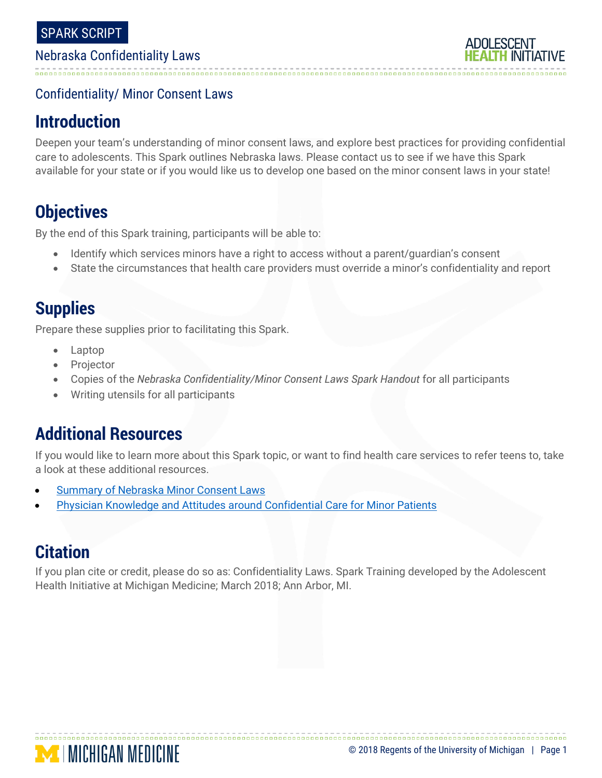#### Nebraska Confidentiality Laws

### Confidentiality/ Minor Consent Laws

## **Introduction**

Deepen your team's understanding of minor consent laws, and explore best practices for providing confidential care to adolescents. This Spark outlines Nebraska laws. Please contact us to see if we have this Spark available for your state or if you would like us to develop one based on the minor consent laws in your state!

# **Objectives**

By the end of this Spark training, participants will be able to:

- Identify which services minors have a right to access without a parent/guardian's consent
- State the circumstances that health care providers must override a minor's confidentiality and report

# **Supplies**

Prepare these supplies prior to facilitating this Spark.

- Laptop
- Projector
- Copies of the *Nebraska Confidentiality/Minor Consent Laws Spark Handout* for all participants
- Writing utensils for all participants

## **Additional Resources**

If you would like to learn more about this Spark topic, or want to find health care services to refer teens to, take a look at these additional resources.

- [Summary of Nebraska Minor Consent Laws](http://secure.bozellhosting.com/ldmlaw/1913-Nebraska-Minor-Consent-Laws.pdf)
- [Physician Knowledge and Attitudes around Confidential Care for Minor Patients](http://www.sciencedirect.com/science/article/pii/S1083318814003064?via%3Dihub)

## **Citation**

If you plan cite or credit, please do so as: Confidentiality Laws. Spark Training developed by the Adolescent Health Initiative at Michigan Medicine; March 2018; Ann Arbor, MI.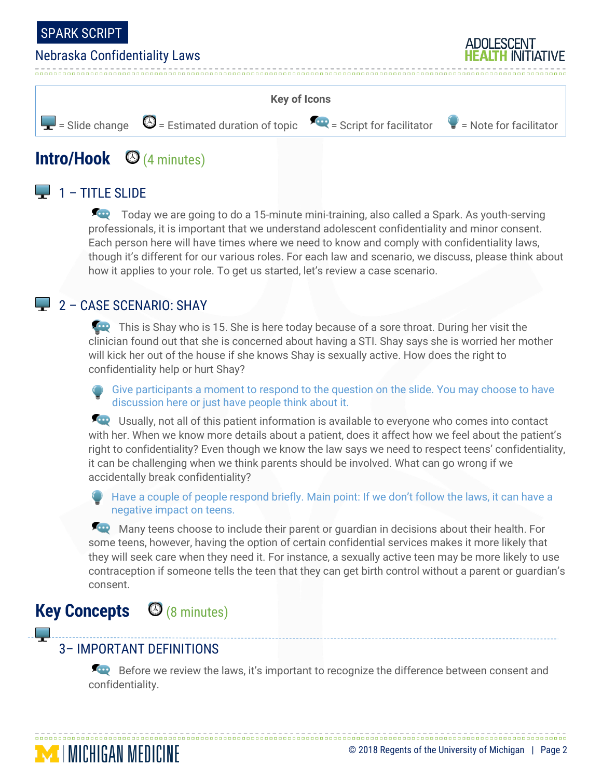

#### Nebraska Confidentiality Laws





# **Intro/Hook** (4 minutes)

## $\Box$  1 – TITLE SLIDE

Today we are going to do a 15-minute mini-training, also called a Spark. As youth-serving professionals, it is important that we understand adolescent confidentiality and minor consent. Each person here will have times where we need to know and comply with confidentiality laws, though it's different for our various roles. For each law and scenario, we discuss, please think about how it applies to your role. To get us started, let's review a case scenario.

### $\Box$  2 – CASE SCENARIO: SHAY

This is Shay who is 15. She is here today because of a sore throat. During her visit the clinician found out that she is concerned about having a STI. Shay says she is worried her mother will kick her out of the house if she knows Shay is sexually active. How does the right to confidentiality help or hurt Shay?

Give participants a moment to respond to the question on the slide. You may choose to have discussion here or just have people think about it.

**ED** Usually, not all of this patient information is available to everyone who comes into contact with her. When we know more details about a patient, does it affect how we feel about the patient's right to confidentiality? Even though we know the law says we need to respect teens' confidentiality, it can be challenging when we think parents should be involved. What can go wrong if we accidentally break confidentiality?

Have a couple of people respond briefly. Main point: If we don't follow the laws, it can have a negative impact on teens.

Many teens choose to include their parent or guardian in decisions about their health. For some teens, however, having the option of certain confidential services makes it more likely that they will seek care when they need it. For instance, a sexually active teen may be more likely to use contraception if someone tells the teen that they can get birth control without a parent or guardian's consent.

## **Key Concepts** (8 minutes)

**MENIGAN MEDICINE** 

اسي ا

## 3– IMPORTANT DEFINITIONS

Before we review the laws, it's important to recognize the difference between consent and confidentiality.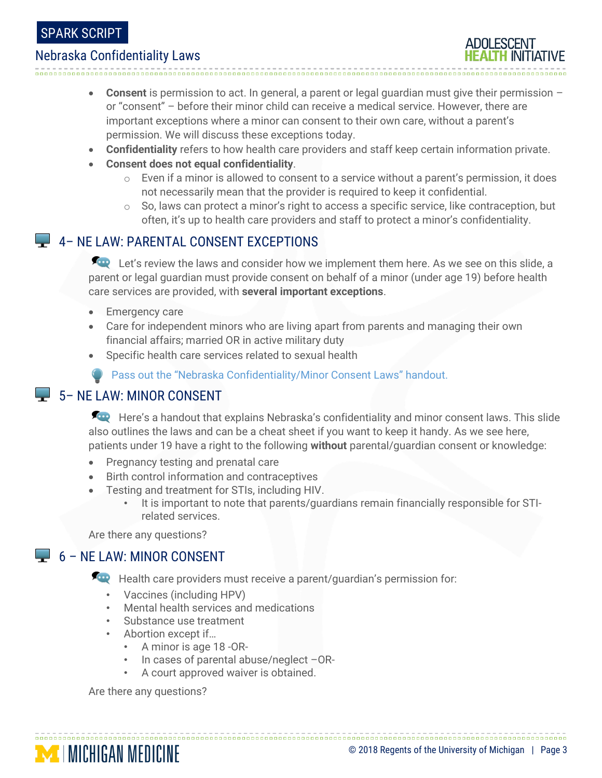### SPARK SCRIPT

#### Nebraska Confidentiality Laws

- **Consent** is permission to act. In general, a parent or legal guardian must give their permission or "consent" – before their minor child can receive a medical service. However, there are important exceptions where a minor can consent to their own care, without a parent's permission. We will discuss these exceptions today.
- **Confidentiality** refers to how health care providers and staff keep certain information private.
- **Consent does not equal confidentiality**.

- $\circ$  Even if a minor is allowed to consent to a service without a parent's permission, it does not necessarily mean that the provider is required to keep it confidential.
- $\circ$  So, laws can protect a minor's right to access a specific service, like contraception, but often, it's up to health care providers and staff to protect a minor's confidentiality.

#### 4 - NE LAW: PARENTAL CONSENT EXCEPTIONS

Let's review the laws and consider how we implement them here. As we see on this slide, a parent or legal guardian must provide consent on behalf of a minor (under age 19) before health care services are provided, with **several important exceptions**.

- Emergency care
- Care for independent minors who are living apart from parents and managing their own financial affairs; married OR in active military duty
- Specific health care services related to sexual health

**Pass out the "Nebraska Confidentiality/Minor Consent Laws" handout.** 

#### 5 – NE LAW: MINOR CONSENT

Here's a handout that explains Nebraska's confidentiality and minor consent laws. This slide also outlines the laws and can be a cheat sheet if you want to keep it handy. As we see here, patients under 19 have a right to the following **without** parental/guardian consent or knowledge:

- Pregnancy testing and prenatal care
- Birth control information and contraceptives
- Testing and treatment for STIs, including HIV.
	- It is important to note that parents/guardians remain financially responsible for STIrelated services.

Are there any questions?

#### $\Box$  6 – NF LAW: MINOR CONSENT

**For** Health care providers must receive a parent/guardian's permission for:

- Vaccines (including HPV)
- Mental health services and medications
- Substance use treatment
- Abortion except if…
	- A minor is age 18 -OR-
	- In cases of parental abuse/neglect –OR-
	- A court approved waiver is obtained.

Are there any questions?

| <b>MENIGAN MEDICINE</b> | © 2018 Regents of the University of Michigan   Page 3 |  |
|-------------------------|-------------------------------------------------------|--|